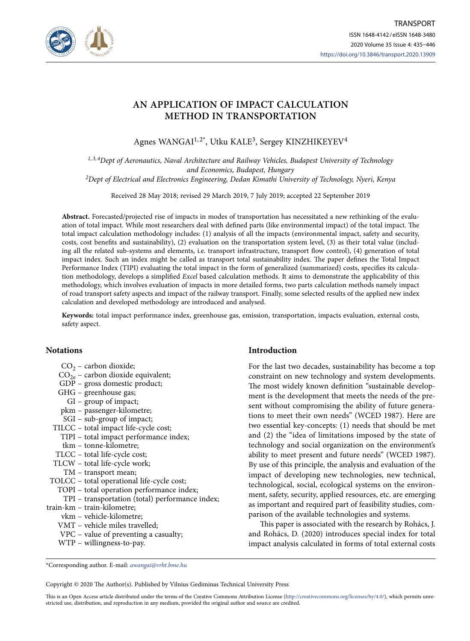

# **AN APPLICATION OF IMPACT CALCULATION METHOD IN TRANSPORTATION**

Agnes WANGAI<sup>1,2\*</sup>, Utku KALE<sup>3</sup>, Sergey KINZHIKEYEV<sup>4</sup>

*1, 3, 4Dept of Aeronautics, Naval Architecture and Railway Vehicles, Budapest University of Technology and Economics, Budapest, Hungary*

*2Dept of Electrical and Electronics Engineering, Dedan Kimathi University of Technology, Nyeri, Kenya*

Received 28 May 2018; revised 29 March 2019, 7 July 2019; accepted 22 September 2019

**Abstract.** Forecasted/projected rise of impacts in modes of transportation has necessitated a new rethinking of the evaluation of total impact. While most researchers deal with defined parts (like environmental impact) of the total impact. The total impact calculation methodology includes: (1) analysis of all the impacts (environmental impact, safety and security, costs, cost benefits and sustainability), (2) evaluation on the transportation system level, (3) as their total value (including all the related sub-systems and elements, i.e. transport infrastructure, transport flow control), (4) generation of total impact index. Such an index might be called as transport total sustainability index. The paper defines the Total Impact Performance Index (TIPI) evaluating the total impact in the form of generalized (summarized) costs, specifies its calculation methodology, develops a simplified *Excel* based calculation methods. It aims to demonstrate the applicability of this methodology, which involves evaluation of impacts in more detailed forms, two parts calculation methods namely impact of road transport safety aspects and impact of the railway transport. Finally, some selected results of the applied new index calculation and developed methodology are introduced and analysed.

**Keywords:** total impact performance index, greenhouse gas, emission, transportation, impacts evaluation, external costs, safety aspect.

# **Notations**

- $CO<sub>2</sub>$  carbon dioxide;
- $CO<sub>2e</sub>$  carbon dioxide equivalent;
- GDP gross domestic product;
- GHG greenhouse gas;
- GI group of impact;
- pkm passenger-kilometre;
- SGI sub-group of impact;
- TILCC total impact life-cycle cost;
	- TIPI total impact performance index; tkm – tonne-kilometre;
- TLCC total life-cycle cost;
- TLCW total life-cycle work;
- TM transport mean;
- TOLCC total operational life-cycle cost;
- TOPI total operation performance index;
	- TPI transportation (total) performance index;
- train-km train-kilometre;
	- vkm vehicle-kilometre;
	- VMT vehicle miles travelled;
	- VPC value of preventing a casualty;
	- WTP willingness-to-pay.

# **Introduction**

For the last two decades, sustainability has become a top constraint on new technology and system developments. The most widely known definition "sustainable development is the development that meets the needs of the present without compromising the ability of future generations to meet their own needs" (WCED 1987). Here are two essential key-concepts: (1) needs that should be met and (2) the "idea of limitations imposed by the state of technology and social organization on the environment's ability to meet present and future needs" (WCED 1987). By use of this principle, the analysis and evaluation of the impact of developing new technologies, new technical, technological, social, ecological systems on the environment, safety, security, applied resources, etc. are emerging as important and required part of feasibility studies, comparison of the available technologies and systems.

This paper is associated with the research by Rohács, J. and Rohács, D. (2020) introduces special index for total impact analysis calculated in forms of total external costs

Copyright © 2020 The Author(s). Published by Vilnius Gediminas Technical University Press

This is an Open Access article distributed under the terms of the Creative Commons Attribution License (<http://creativecommons.org/licenses/by/4.0/>), which permits unrestricted use, distribution, and reproduction in any medium, provided the original author and source are credited.

<sup>\*</sup>Corresponding author. E-mail: *awangai@vrht.bme.hu*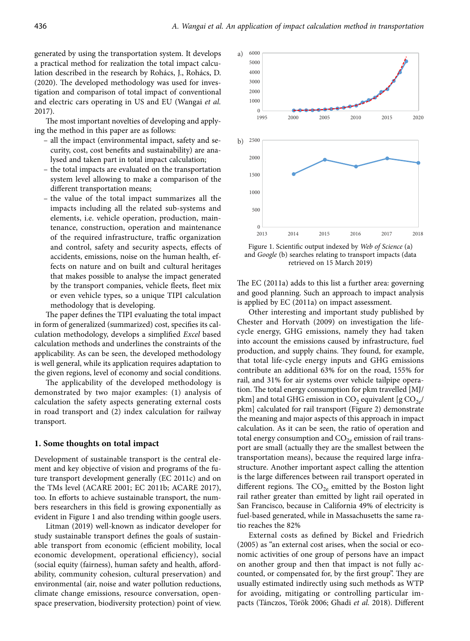generated by using the transportation system. It develops a practical method for realization the total impact calculation described in the research by Rohács, J., Rohács, D. (2020). The developed methodology was used for investigation and comparison of total impact of conventional and electric cars operating in US and EU (Wangai *et al.*  2017).

The most important novelties of developing and applying the method in this paper are as follows:

- all the impact (environmental impact, safety and security, cost, cost benefits and sustainability) are analysed and taken part in total impact calculation;
- the total impacts are evaluated on the transportation system level allowing to make a comparison of the different transportation means;
- the value of the total impact summarizes all the impacts including all the related sub-systems and elements, i.e. vehicle operation, production, maintenance, construction, operation and maintenance of the required infrastructure, traffic organization and control, safety and security aspects, effects of accidents, emissions, noise on the human health, effects on nature and on built and cultural heritages that makes possible to analyse the impact generated by the transport companies, vehicle fleets, fleet mix or even vehicle types, so a unique TIPI calculation methodology that is developing.

The paper defines the TIPI evaluating the total impact in form of generalized (summarized) cost, specifies its calculation methodology, develops a simplified *Excel* based calculation methods and underlines the constraints of the applicability. As can be seen, the developed methodology is well general, while its application requires adaptation to the given regions, level of economy and social conditions.

The applicability of the developed methodology is demonstrated by two major examples: (1) analysis of calculation the safety aspects generating external costs in road transport and (2) index calculation for railway transport.

#### **1. Some thoughts on total impact**

Development of sustainable transport is the central element and key objective of vision and programs of the future transport development generally (EC 2011c) and on the TMs level (ACARE 2001; EC 2011b; ACARE 2017), too. In efforts to achieve sustainable transport, the numbers researchers in this field is growing exponentially as evident in Figure 1 and also trending within google users.

Litman (2019) well-known as indicator developer for study sustainable transport defines the goals of sustainable transport from economic (efficient mobility, local economic development, operational efficiency), social (social equity (fairness), human safety and health, affordability, community cohesion, cultural preservation) and environmental (air, noise and water pollution reductions, climate change emissions, resource conversation, openspace preservation, biodiversity protection) point of view.



Figure 1. Scientific output indexed by *Web of Science* (a) and *Google* (b) searches relating to transport impacts (data retrieved on 15 March 2019)

The EC (2011a) adds to this list a further area: governing and good planning. Such an approach to impact analysis is applied by EC (2011a) on impact assessment.

Other interesting and important study published by Chester and Horvath (2009) on investigation the lifecycle energy, GHG emissions, namely they had taken into account the emissions caused by infrastructure, fuel production, and supply chains. They found, for example, that total life-cycle energy inputs and GHG emissions contribute an additional 63% for on the road, 155% for rail, and 31% for air systems over vehicle tailpipe operation. The total energy consumption for pkm travelled [MJ/ pkm] and total GHG emission in CO<sub>2</sub> equivalent [g CO<sub>2e</sub>/ pkm] calculated for rail transport (Figure 2) demonstrate the meaning and major aspects of this approach in impact calculation. As it can be seen, the ratio of operation and total energy consumption and  $CO<sub>2e</sub>$  emission of rail transport are small (actually they are the smallest between the transportation means), because the required large infrastructure. Another important aspect calling the attention is the large differences between rail transport operated in different regions. The  $CO_{2e}$  emitted by the Boston light rail rather greater than emitted by light rail operated in San Francisco, because in California 49% of electricity is fuel-based generated, while in Massachusetts the same ratio reaches the 82%

External costs as defined by Bickel and Friedrich (2005) as "an external cost arises, when the social or economic activities of one group of persons have an impact on another group and then that impact is not fully accounted, or compensated for, by the first group". They are usually estimated indirectly using such methods as WTP for avoiding, mitigating or controlling particular impacts (Tánczos, Török 2006; Ghadi *et al.* 2018). Different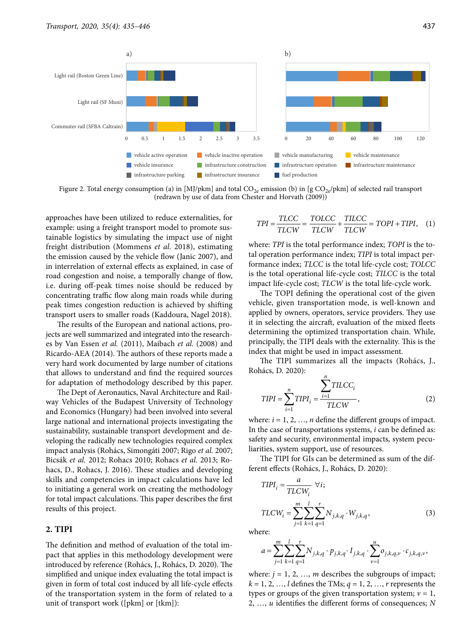

Figure 2. Total energy consumption (a) in [MJ/pkm] and total  $CO_{2e}$  emission (b) in [g  $CO_{2e}/\text{pkm}$ ] of selected rail transport (redrawn by use of data from Chester and Horvath (2009))

approaches have been utilized to reduce externalities, for example: using a freight transport model to promote sustainable logistics by simulating the impact use of night freight distribution (Mommens *et al.* 2018), estimating the emission caused by the vehicle flow (Janic 2007), and in interrelation of external effects as explained, in case of road congestion and noise, a temporally change of flow, i.e. during off-peak times noise should be reduced by concentrating traffic flow along main roads while during peak times congestion reduction is achieved by shifting transport users to smaller roads (Kaddoura, Nagel 2018).

The results of the European and national actions, projects are well summarized and integrated into the researches by Van Essen *et al.* (2011), Maibach *et al.* (2008) and Ricardo-AEA (2014). The authors of these reports made a very hard work documented by large number of citations that allows to understand and find the required sources for adaptation of methodology described by this paper.

The Dept of Aeronautics, Naval Architecture and Railway Vehicles of the Budapest University of Technology and Economics (Hungary) had been involved into several large national and international projects investigating the sustainability, sustainable transport development and developing the radically new technologies required complex impact analysis (Rohács, Simongáti 2007; Rigo *et al.* 2007; Bicsák *et al.* 2012; Rohacs 2010; Rohacs *et al.* 2013; Rohacs, D., Rohacs, J. 2016). These studies and developing skills and competencies in impact calculations have led to initiating a general work on creating the methodology for total impact calculations. This paper describes the first results of this project.

#### **2. TIPI**

The definition and method of evaluation of the total impact that applies in this methodology development were introduced by reference (Rohács, J., Rohács, D. 2020). The simplified and unique index evaluating the total impact is given in form of total cost induced by all life-cycle effects of the transportation system in the form of related to a unit of transport work ([pkm] or [tkm]):

$$
TPI = \frac{TLCC}{TLCW} = \frac{TOLCC}{TLCW} + \frac{TILCC}{TLCW} = TOPI + TIPI, \quad (1)
$$

where: *TPI* is the total performance index; *TOPI* is the total operation performance index; *TIPI* is total impact performance index; *TLCC* is the total life-cycle cost; *TOLCC*  is the total operational life-cycle cost; *TILCC* is the total impact life-cycle cost; *TLCW* is the total life-cycle work.

The TOPI defining the operational cost of the given vehicle, given transportation mode, is well-known and applied by owners, operators, service providers. They use it in selecting the aircraft, evaluation of the mixed fleets determining the optimized transportation chain. While, principally, the TIPI deals with the externality. This is the index that might be used in impact assessment.

The TIPI summarizes all the impacts (Rohács, J., Rohács, D. 2020):

$$
TIPI = \sum_{i=1}^{n} TIPI_i = \frac{\sum_{i=1}^{n} TILCC_i}{TLCW},
$$
\n(2)

where:  $i = 1, 2, ..., n$  define the different groups of impact. In the case of transportations systems, *i* can be defined as: safety and security, environmental impacts, system peculiarities, system support, use of resources.

The TIPI for GIs can be determined as sum of the different effects (Rohács, J., Rohács, D. 2020):

$$
TIPI_{i} = \frac{a}{TLCW_{i}} \quad \forall i;
$$
  

$$
TLCW_{i} = \sum_{j=1}^{m} \sum_{k=1}^{l} \sum_{q=1}^{r} N_{j,k,q} \cdot W_{j,k,q},
$$
 (3)

where:

$$
a = \sum_{j=1}^m \sum_{k=1}^l \sum_{q=1}^r N_{j,k,q} \cdot p_{j,k,q} \cdot I_{j,k,q} \cdot \sum_{\nu=1}^u o_{j,k,q,\nu} \cdot c_{j,k,q,\nu},
$$

where:  $j = 1, 2, ..., m$  describes the subgroups of impact;  $k = 1, 2, \ldots, l$  defines the TMs;  $q = 1, 2, \ldots, r$  represents the types or groups of the given transportation system;  $v = 1$ , 2, …, *u* identifies the different forms of consequences; *N*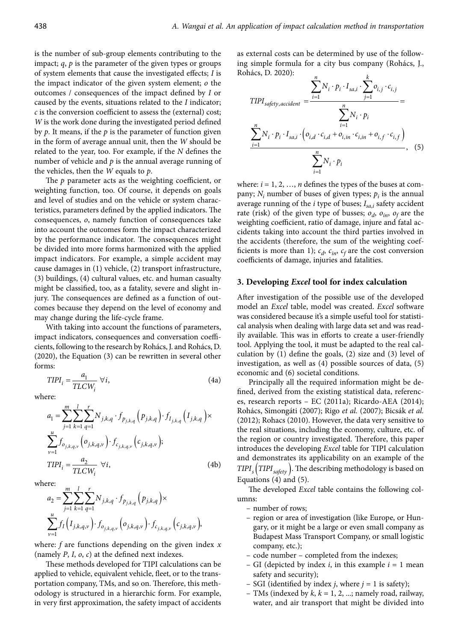is the number of sub-group elements contributing to the impact; *q*, *p* is the parameter of the given types or groups of system elements that cause the investigated effects; *I* is the impact indicator of the given system element; *o* the outcomes / consequences of the impact defined by *I* or caused by the events, situations related to the *I* indicator; *c* is the conversion coefficient to assess the (external) cost; *W* is the work done during the investigated period defined by *p*. It means, if the *p* is the parameter of function given in the form of average annual unit, then the *W* should be related to the year, too. For example, if the *N* defines the number of vehicle and *p* is the annual average running of the vehicles, then the *W* equals to *p*.

The *p* parameter acts as the weighting coefficient, or weighting function, too. Of course, it depends on goals and level of studies and on the vehicle or system characteristics, parameters defined by the applied indicators. The consequences, *o*, namely function of consequences take into account the outcomes form the impact characterized by the performance indicator. The consequences might be divided into more forms harmonized with the applied impact indicators. For example, a simple accident may cause damages in (1) vehicle, (2) transport infrastructure, (3) buildings, (4) cultural values, etc. and human casualty might be classified, too, as a fatality, severe and slight injury. The consequences are defined as a function of outcomes because they depend on the level of economy and may change during the life-cycle frame.

With taking into account the functions of parameters, impact indicators, consequences and conversation coefficients, following to the research by Rohács, J. and Rohács, D. (2020), the Equation (3) can be rewritten in several other forms:

$$
TIPI_i = \frac{a_1}{TLCW_i} \,\forall i,
$$
\n(4a)

where:

$$
a_{1} = \sum_{j=1}^{m} \sum_{k=1}^{l} \sum_{q=1}^{r} N_{j,k,q} \cdot f_{p_{j,k,q}}(p_{j,k,q}) \cdot f_{I_{j,k,q}}(I_{j,k,q}) \times \sum_{\nu=1}^{u} f_{o_{j,k,q,\nu}}(o_{j,k,q,\nu}) \cdot f_{c_{j,k,q,\nu}}(c_{j,k,q,\nu});
$$
  
\n
$$
TIPI_{i} = \frac{a_{2}}{TLCW_{i}} \quad \forall i,
$$
\n(4b)

where:

$$
a_2 = \sum_{j=1}^m \sum_{k=1}^l \sum_{q=1}^r N_{j,k,q} \cdot f_{p_{j,k,q}}(p_{j,k,q}) \times
$$
  

$$
\sum_{v=1}^u f_I(I_{j,k,q,v}) \cdot f_{o_{j,k,q,v}}(o_{j,k,q,v}) \cdot f_{c_{j,k,q,v}}(c_{j,k,q,v}),
$$

where: *f* are functions depending on the given index *x* (namely *P*, *I*, *o*, *c*) at the defined next indexes.

These methods developed for TIPI calculations can be applied to vehicle, equivalent vehicle, fleet, or to the transportation company, TMs, and so on. Therefore, this methodology is structured in a hierarchic form. For example, in very first approximation, the safety impact of accidents as external costs can be determined by use of the following simple formula for a city bus company (Rohács, J., Rohács, D. 2020):

$$
\text{TIPI}_{\text{sqrt},\text{accident}} = \frac{\sum_{i=1}^{n} N_i \cdot p_i \cdot I_{\text{sa},i} \cdot \sum_{j=1}^{k} o_{i,j} \cdot c_{i,j}}{\sum_{i=1}^{n} N_i \cdot p_i \cdot I_{\text{sa},i} \cdot \left( o_{i,d} \cdot c_{i,d} + o_{i,in} \cdot c_{i,in} + o_{i,f} \cdot c_{i,f} \right)} = \frac{\sum_{i=1}^{n} N_i \cdot p_i}{\sum_{i=1}^{n} N_i \cdot p_i}, \quad (5)
$$

where:  $i = 1, 2, ..., n$  defines the types of the buses at company;  $N_i$  number of buses of given types;  $p_i$  is the annual average running of the *i* type of buses;  $I_{sa,i}$  safety accident rate (risk) of the given type of busses;  $o_d$ ,  $o_{in}$ ,  $o_f$  are the weighting coefficient, ratio of damage, injure and fatal accidents taking into account the third parties involved in the accidents (therefore, the sum of the weighting coefficients is more than 1);  $c_d$ ,  $c_{in}$ ,  $c_f$  are the cost conversion coefficients of damage, injuries and fatalities.

# **3. Developing** *Excel* **tool for index calculation**

After investigation of the possible use of the developed model an *Excel* table, model was created. *Excel* software was considered because it's a simple useful tool for statistical analysis when dealing with large data set and was readily available. This was in efforts to create a user-friendly tool. Applying the tool, it must be adapted to the real calculation by (1) define the goals, (2) size and (3) level of investigation, as well as (4) possible sources of data, (5) economic and (6) societal conditions.

Principally all the required information might be defined, derived from the existing statistical data, references, research reports – EC (2011a); Ricardo-AEA (2014); Rohács, Simongáti (2007); Rigo *et al.* (2007); Bicsák *et al.*  (2012); Rohacs (2010). However, the data very sensitive to the real situations, including the economy, culture, etc. of the region or country investigated. Therefore, this paper introduces the developing *Excel* table for TIPI calculation and demonstrates its applicability on an example of the *TIPIs* (*TIPIsafety* ). The describing methodology is based on Equations (4) and (5).

The developed *Excel* table contains the following columns:

- number of rows;
- region or area of investigation (like Europe, or Hungary, or it might be a large or even small company as Budapest Mass Transport Company, or small logistic company, etc.);
- code number completed from the indexes;
- GI (depicted by index *i*, in this example *i* = 1 mean safety and security);
- SGI (identified by index *j*, where *j* = 1 is safety);
- TMs (indexed by *k*, *k* = 1, 2, ...; namely road, railway, water, and air transport that might be divided into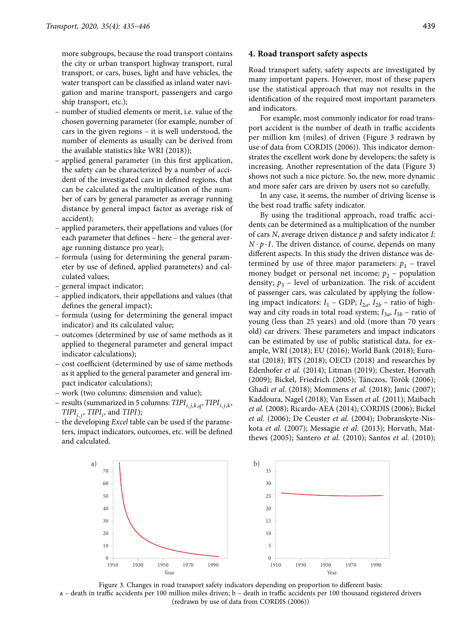more subgroups, because the road transport contains the city or urban transport highway transport, rural transport, or cars, buses, light and have vehicles, the water transport can be classified as inland water navigation and marine transport, passengers and cargo ship transport, etc.);

- number of studied elements or merit, i.e. value of the chosen governing parameter (for example, number of cars in the given regions – it is well understood, the number of elements as usually can be derived from the available statistics like WRI (2018));
- applied general parameter (in this first application, the safety can be characterized by a number of accident of the investigated cars in defined regions, that can be calculated as the multiplication of the number of cars by general parameter as average running distance by general impact factor as average risk of accident);
- applied parameters, their appellations and values (for each parameter that defines – here – the general average running distance pro year);
- formula (using for determining the general parameter by use of defined, applied parameters) and calculated values;
- general impact indicator;
- applied indicators, their appellations and values (that defines the general impact);
- formula (using for determining the general impact indicator) and its calculated value;
- outcomes (determined by use of same methods as it applied to thegeneral parameter and general impact indicator calculations);
- cost coefficient (determined by use of same methods as it applied to the general parameter and general impact indicator calculations);
- work (two columns: dimension and value);
- results (summarized in 5 columns:  $TIPI_{i,j,k,q}$ ,  $TIPI_{i,j,k}$ ,  $TIPI_{i,j}$ ,  $TIPI_i$ , and  $TIPI$ );
- the developing *Excel* table can be used if the parameters, impact indicators, outcomes, etc. will be defined and calculated.

#### **4. Road transport safety aspects**

Road transport safety, safety aspects are investigated by many important papers. However, most of these papers use the statistical approach that may not results in the identification of the required most important parameters and indicators.

For example, most commonly indicator for road transport accident is the number of death in traffic accidents per million km (miles) of driven (Figure 3 redrawn by use of data from CORDIS (2006)). This indicator demonstrates the excellent work done by developers; the safety is increasing. Another representation of the data (Figure 3) shows not such a nice picture. So, the new, more dynamic and more safer cars are driven by users not so carefully.

In any case, it seems, the number of driving license is the best road traffic safety indicator.

By using the traditional approach, road traffic accidents can be determined as a multiplication of the number of cars *N*, average driven distance *p* and safety indicator *I*:  $N \cdot p \cdot I$ . The driven distance, of course, depends on many different aspects. In this study the driven distance was determined by use of three major parameters:  $p_1$  – travel money budget or personal net income;  $p_2$  – population density;  $p_3$  – level of urbanization. The risk of accident of passenger cars, was calculated by applying the following impact indicators:  $I_1$  – GDP;  $I_{2a}$ ,  $I_{2b}$  – ratio of highway and city roads in total road system;  $I_{3a}$ ,  $I_{3b}$  – ratio of young (less than 25 years) and old (more than 70 years old) car drivers. These parameters and impact indicators can be estimated by use of public statistical data, for example, WRI (2018); EU (2016); World Bank (2018); Eurostat (2018); BTS (2018); OECD (2018) and researches by Edenhofer *et al.* (2014); Litman (2019); Chester, Horvath (2009); Bickel, Friedrich (2005); Tánczos, Török (2006); Ghadi *et al.* (2018); Mommens *et al.* (2018); Janic (2007); Kaddoura, Nagel (2018); Van Essen *et al.* (2011); Maibach *et al.* (2008); Ricardo-AEA (2014); CORDIS (2006); Bickel *et al.* (2006); De Ceuster *et al.* (2004); Dobranskyte-Niskota *et al.* (2007); Messagie *et al.* (2013); Horvath, Matthews (2005); Santero *et al.* (2010); Santos *et al.* (2010);



Figure 3. Changes in road transport safety indicators depending on proportion to different basis: a – death in traffic accidents per 100 million miles driven; b – death in traffic accidents per 100 thousand registered drivers (redrawn by use of data from CORDIS (2006))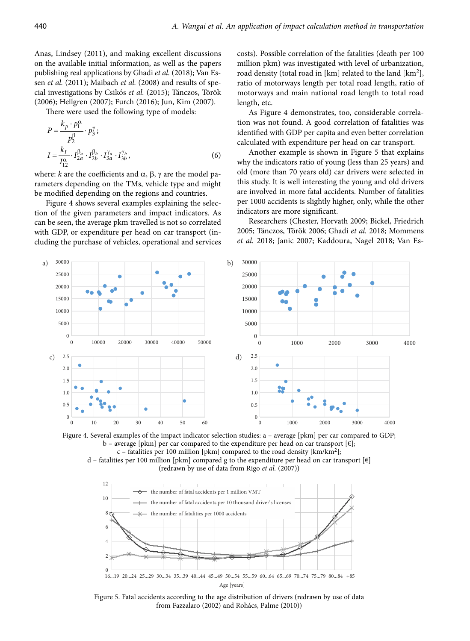Anas, Lindsey (2011), and making excellent discussions on the available initial information, as well as the papers publishing real applications by Ghadi *et al.* (2018); Van Essen et al. (2011); Maibach et al. (2008) and results of special investigations by Csikós *et al.* (2015); Tánczos, Török (2006); Hellgren (2007); Furch (2016); Jun, Kim (2007).

There were used the following type of models:

$$
P = \frac{k_p \cdot p_1^{\alpha}}{p_2^{\beta}} \cdot p_3^{\gamma};
$$
  
\n
$$
I = \frac{k_I}{I_{12}^{\alpha}} \cdot I_{2a}^{\beta_a} \cdot I_{2b}^{\beta_b} \cdot I_{3a}^{\gamma_a} \cdot I_{3b}^{\gamma_b},
$$
 (6)

where:  $k$  are the coefficients and  $\alpha$ ,  $\beta$ ,  $\gamma$  are the model parameters depending on the TMs, vehicle type and might be modified depending on the regions and countries.

Figure 4 shows several examples explaining the selection of the given parameters and impact indicators. As can be seen, the average pkm travelled is not so correlated with GDP, or expenditure per head on car transport (including the purchase of vehicles, operational and services costs). Possible correlation of the fatalities (death per 100 million pkm) was investigated with level of urbanization, road density (total road in [km] related to the land  $[km^2]$ , ratio of motorways length per total road length, ratio of motorways and main national road length to total road length, etc.

As Figure 4 demonstrates, too, considerable correlation was not found. A good correlation of fatalities was identified with GDP per capita and even better correlation calculated with expenditure per head on car transport.

Another example is shown in Figure 5 that explains why the indicators ratio of young (less than 25 years) and old (more than 70 years old) car drivers were selected in this study. It is well interesting the young and old drivers are involved in more fatal accidents. Number of fatalities per 1000 accidents is slightly higher, only, while the other indicators are more significant.

Researchers (Chester, Horvath 2009; Bickel, Friedrich 2005; Tánczos, Török 2006; Ghadi *et al.* 2018; Mommens *et al.* 2018; Janic 2007; Kaddoura, Nagel 2018; Van Es-



Figure 4. Several examples of the impact indicator selection studies: a – average [pkm] per car compared to GDP; b – average [pkm] per car compared to the expenditure per head on car transport  $[\epsilon]$ ; c – fatalities per 100 million [pkm] compared to the road density [km/km<sup>2</sup>];

d – fatalities per 100 million [pkm] compared g to the expenditure per head on car transport  $[\epsilon]$ (redrawn by use of data from Rigo *et al.* (2007))



Figure 5. Fatal accidents according to the age distribution of drivers (redrawn by use of data from Fazzalaro (2002) and Rohács, Palme (2010))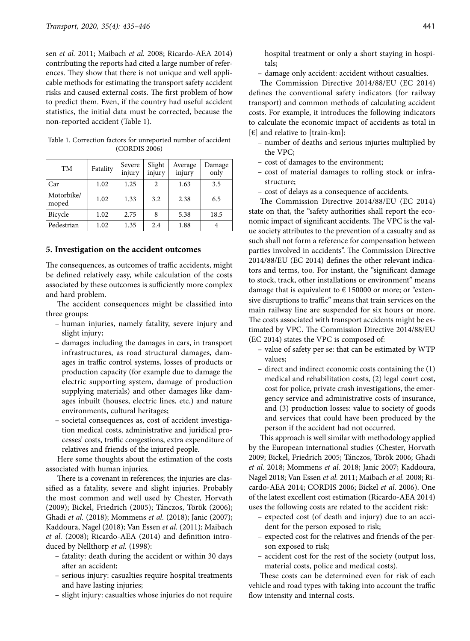sen *et al.* 2011; Maibach *et al.* 2008; Ricardo-AEA 2014) contributing the reports had cited a large number of references. They show that there is not unique and well applicable methods for estimating the transport safety accident risks and caused external costs. The first problem of how to predict them. Even, if the country had useful accident statistics, the initial data must be corrected, because the non-reported accident (Table 1).

| <b>TM</b>           | Fatality | Severe<br>injury | Slight<br>injury | Average<br>injury | Damage<br>only |
|---------------------|----------|------------------|------------------|-------------------|----------------|
| Car                 | 1.02     | 1.25             | $\mathfrak{D}$   | 1.63              | 3.5            |
| Motorbike/<br>moped | 1.02     | 1.33             | 3.2              | 2.38              | 6.5            |
| Bicycle             | 1.02     | 2.75             | 8                | 5.38              | 18.5           |
| Pedestrian          | 1.02     | 1.35             | 2.4              | 1.88              |                |

Table 1. Correction factors for unreported number of accident (CORDIS 2006)

# **5. Investigation on the accident outcomes**

The consequences, as outcomes of traffic accidents, might be defined relatively easy, while calculation of the costs associated by these outcomes is sufficiently more complex and hard problem.

The accident consequences might be classified into three groups:

- human injuries, namely fatality, severe injury and slight injury;
- damages including the damages in cars, in transport infrastructures, as road structural damages, damages in traffic control systems, losses of products or production capacity (for example due to damage the electric supporting system, damage of production supplying materials) and other damages like damages inbuilt (houses, electric lines, etc.) and nature environments, cultural heritages;
- societal consequences as, cost of accident investigation medical costs, administrative and juridical processes' costs, traffic congestions, extra expenditure of relatives and friends of the injured people.

Here some thoughts about the estimation of the costs associated with human injuries.

There is a covenant in references; the injuries are classified as a fatality, severe and slight injuries. Probably the most common and well used by Chester, Horvath (2009); Bickel, Friedrich (2005); Tánczos, Török (2006); Ghadi *et al.* (2018); Mommens *et al.* (2018); Janic (2007); Kaddoura, Nagel (2018); Van Essen *et al.* (2011); Maibach *et al.* (2008); Ricardo-AEA (2014) and definition introduced by Nellthorp *et al.* (1998):

- fatality: death during the accident or within 30 days after an accident;
- serious injury: casualties require hospital treatments and have lasting injuries;
- slight injury: casualties whose injuries do not require

hospital treatment or only a short staying in hospitals;

– damage only accident: accident without casualties.

The Commission Directive 2014/88/EU (EC 2014) defines the conventional safety indicators (for railway transport) and common methods of calculating accident costs. For example, it introduces the following indicators to calculate the economic impact of accidents as total in  $[\in]$  and relative to [train-km]:

- number of deaths and serious injuries multiplied by the VPC;
- cost of damages to the environment;
- cost of material damages to rolling stock or infrastructure;
- cost of delays as a consequence of accidents.

The Commission Directive 2014/88/EU (EC 2014) state on that, the "safety authorities shall report the economic impact of significant accidents. The VPC is the value society attributes to the prevention of a casualty and as such shall not form a reference for compensation between parties involved in accidents". The Commission Directive 2014/88/EU (EC 2014) defines the other relevant indicators and terms, too. For instant, the "significant damage to stock, track, other installations or environment" means damage that is equivalent to  $\epsilon$  150000 or more; or "extensive disruptions to traffic" means that train services on the main railway line are suspended for six hours or more. The costs associated with transport accidents might be estimated by VPC. The Commission Directive 2014/88/EU (EC 2014) states the VPC is composed of:

- value of safety per se: that can be estimated by WTP values;
- direct and indirect economic costs containing the (1) medical and rehabilitation costs, (2) legal court cost, cost for police, private crash investigations, the emergency service and administrative costs of insurance, and (3) production losses: value to society of goods and services that could have been produced by the person if the accident had not occurred.

This approach is well similar with methodology applied by the European international studies (Chester, Horvath 2009; Bickel, Friedrich 2005; Tánczos, Török 2006; Ghadi *et al.* 2018; Mommens *et al.* 2018; Janic 2007; Kaddoura, Nagel 2018; Van Essen *et al.* 2011; Maibach *et al.* 2008; Ricardo-AEA 2014; CORDIS 2006; Bickel *et al.* 2006). One of the latest excellent cost estimation (Ricardo-AEA 2014) uses the following costs are related to the accident risk:

- expected cost (of death and injury) due to an accident for the person exposed to risk;
- expected cost for the relatives and friends of the person exposed to risk;
- accident cost for the rest of the society (output loss, material costs, police and medical costs).

These costs can be determined even for risk of each vehicle and road types with taking into account the traffic flow intensity and internal costs.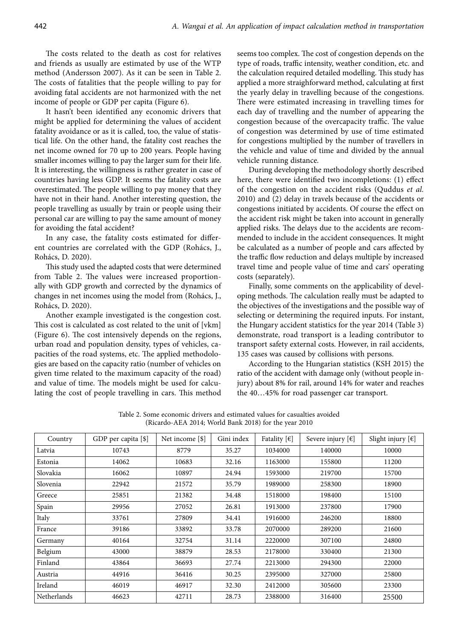The costs related to the death as cost for relatives and friends as usually are estimated by use of the WTP method (Andersson 2007). As it can be seen in Table 2. The costs of fatalities that the people willing to pay for avoiding fatal accidents are not harmonized with the net income of people or GDP per capita (Figure 6).

It hasn't been identified any economic drivers that might be applied for determining the values of accident fatality avoidance or as it is called, too, the value of statistical life. On the other hand, the fatality cost reaches the net income owned for 70 up to 200 years. People having smaller incomes willing to pay the larger sum for their life. It is interesting, the willingness is rather greater in case of countries having less GDP. It seems the fatality costs are overestimated. The people willing to pay money that they have not in their hand. Another interesting question, the people travelling as usually by train or people using their personal car are willing to pay the same amount of money for avoiding the fatal accident?

In any case, the fatality costs estimated for different countries are correlated with the GDP (Rohács, J., Rohács, D. 2020).

This study used the adapted costs that were determined from Table 2. The values were increased proportionally with GDP growth and corrected by the dynamics of changes in net incomes using the model from (Rohács, J., Rohács, D. 2020).

Another example investigated is the congestion cost. This cost is calculated as cost related to the unit of [vkm] (Figure 6). The cost intensively depends on the regions, urban road and population density, types of vehicles, capacities of the road systems, etc. The applied methodologies are based on the capacity ratio (number of vehicles on given time related to the maximum capacity of the road) and value of time. The models might be used for calculating the cost of people travelling in cars. This method seems too complex. The cost of congestion depends on the type of roads, traffic intensity, weather condition, etc. and the calculation required detailed modelling. This study has applied a more straighforward method, calculating at first the yearly delay in travelling because of the congestions. There were estimated increasing in travelling times for each day of travelling and the number of appearing the congestion because of the overcapacity traffic. The value of congestion was determined by use of time estimated for congestions multiplied by the number of travellers in the vehicle and value of time and divided by the annual vehicle running distance.

During developing the methodology shortly described here, there were identified two incompletions: (1) effect of the congestion on the accident risks (Quddus *et al.*  2010) and (2) delay in travels because of the accidents or congestions initiated by accidents. Of course the effect on the accident risk might be taken into account in generally applied risks. The delays due to the accidents are recommended to include in the accident consequences. It might be calculated as a number of people and cars affected by the traffic flow reduction and delays multiple by increased travel time and people value of time and cars' operating costs (separately).

Finally, some comments on the applicability of developing methods. The calculation really must be adapted to the objectives of the investigations and the possible way of selecting or determining the required inputs. For instant, the Hungary accident statistics for the year 2014 (Table 3) demonstrate, road transport is a leading contributor to transport safety external costs. However, in rail accidents, 135 cases was caused by collisions with persons.

According to the Hungarian statistics (KSH 2015) the ratio of the accident with damage only (without people injury) about 8% for rail, around 14% for water and reaches the 40…45% for road passenger car transport.

Table 2. Some economic drivers and estimated values for casualties avoided (Ricardo-AEA 2014; World Bank 2018) for the year 2010

| Country     | GDP per capita [\$] | Net income [\$] | Gini index | Fatality $[\in]$ | Severe injury $[\epsilon]$ | Slight injury $[\in]$ |
|-------------|---------------------|-----------------|------------|------------------|----------------------------|-----------------------|
| Latvia      | 10743               | 8779            | 35.27      | 1034000          | 140000                     | 10000                 |
| Estonia     | 14062               | 10683           | 32.16      | 1163000          | 155800                     | 11200                 |
| Slovakia    | 16062               | 10897           | 24.94      | 1593000          | 219700                     | 15700                 |
| Slovenia    | 22942               | 21572           | 35.79      | 1989000          | 258300                     | 18900                 |
| Greece      | 25851               | 21382           | 34.48      | 1518000          | 198400                     | 15100                 |
| Spain       | 29956               | 27052           | 26.81      | 1913000          | 237800                     | 17900                 |
| Italy       | 33761               | 27809           | 34.41      | 1916000          | 246200                     | 18800                 |
| France      | 39186               | 33892           | 33.78      | 2070000          | 289200                     | 21600                 |
| Germany     | 40164               | 32754           | 31.14      | 2220000          | 307100                     | 24800                 |
| Belgium     | 43000               | 38879           | 28.53      | 2178000          | 330400                     | 21300                 |
| Finland     | 43864               | 36693           | 27.74      | 2213000          | 294300                     | 22000                 |
| Austria     | 44916               | 36416           | 30.25      | 2395000          | 327000                     | 25800                 |
| Ireland     | 46019               | 46917           | 32.30      | 2412000          | 305600                     | 23300                 |
| Netherlands | 46623               | 42711           | 28.73      | 2388000          | 316400                     | 25500                 |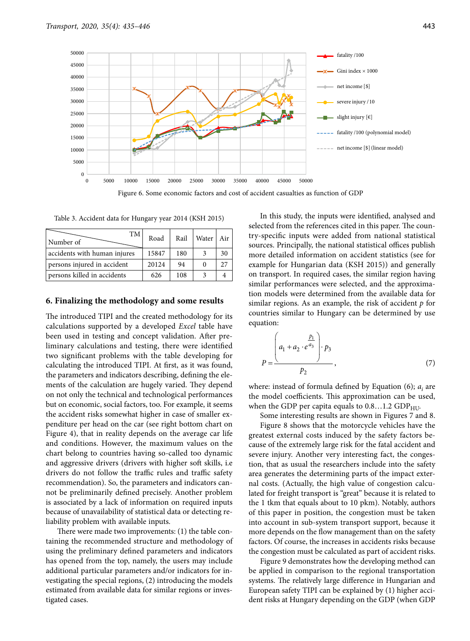

Figure 6. Some economic factors and cost of accident casualties as function of GDP

Table 3. Accident data for Hungary year 2014 (KSH 2015)

| TM<br>Number of              | Road  | Rail | Water | Air |
|------------------------------|-------|------|-------|-----|
| accidents with human injures | 15847 | 180  |       | 30  |
| persons injured in accident  | 20124 | 94   |       | 27  |
| persons killed in accidents  | 626   | 108  |       |     |

#### **6. Finalizing the methodology and some results**

The introduced TIPI and the created methodology for its calculations supported by a developed *Excel* table have been used in testing and concept validation. After preliminary calculations and testing, there were identified two significant problems with the table developing for calculating the introduced TIPI. At first, as it was found, the parameters and indicators describing, defining the elements of the calculation are hugely varied. They depend on not only the technical and technological performances but on economic, social factors, too. For example, it seems the accident risks somewhat higher in case of smaller expenditure per head on the car (see right bottom chart on Figure 4), that in reality depends on the average car life and conditions. However, the maximum values on the chart belong to countries having so-called too dynamic and aggressive drivers (drivers with higher soft skills, i.e drivers do not follow the traffic rules and traffic safety recommendation). So, the parameters and indicators cannot be preliminarily defined precisely. Another problem is associated by a lack of information on required inputs because of unavailability of statistical data or detecting reliability problem with available inputs.

There were made two improvements: (1) the table containing the recommended structure and methodology of using the preliminary defined parameters and indicators has opened from the top, namely, the users may include additional particular parameters and/or indicators for investigating the special regions, (2) introducing the models estimated from available data for similar regions or investigated cases.

In this study, the inputs were identified, analysed and selected from the references cited in this paper. The country-specific inputs were added from national statistical sources. Principally, the national statistical offices publish more detailed information on accident statistics (see for example for Hungarian data (KSH 2015)) and generally on transport. In required cases, the similar region having similar performances were selected, and the approximation models were determined from the available data for similar regions. As an example, the risk of accident *p* for countries similar to Hungary can be determined by use equation:

$$
P = \frac{\left(a_1 + a_2 \cdot e^{a_3}\right) \cdot p_3}{p_2}, \tag{7}
$$

where: instead of formula defined by Equation  $(6)$ ;  $a_i$  are the model coefficients. This approximation can be used, when the GDP per capita equals to  $0.8...1.2$  GDP<sub>HU</sub>.

Some interesting results are shown in Figures 7 and 8.

Figure 8 shows that the motorcycle vehicles have the greatest external costs induced by the safety factors because of the extremely large risk for the fatal accident and severe injury. Another very interesting fact, the congestion, that as usual the researchers include into the safety area generates the determining parts of the impact external costs. (Actually, the high value of congestion calculated for freight transport is "great" because it is related to the 1 tkm that equals about to 10 pkm). Notably, authors of this paper in position, the congestion must be taken into account in sub-system transport support, because it more depends on the flow management than on the safety factors. Of course, the increases in accidents risks because the congestion must be calculated as part of accident risks.

Figure 9 demonstrates how the developing method can be applied in comparison to the regional transportation systems. The relatively large difference in Hungarian and European safety TIPI can be explained by (1) higher accident risks at Hungary depending on the GDP (when GDP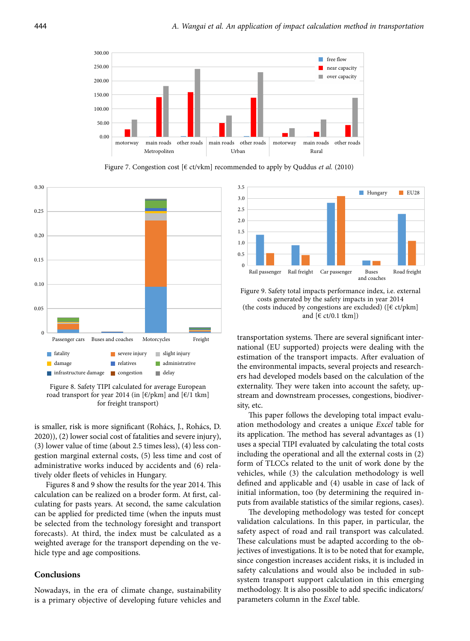

Figure 7. Congestion cost [€ ct/vkm] recommended to apply by Quddus *et al.* (2010)



Figure 8. Safety TIPI calculated for average European road transport for year 2014 (in  $[\text{\ensuremath{\varepsilon}}/\text{pkm}]$  and  $[\text{\ensuremath{\varepsilon}}/1$  tkm] for freight transport)

is smaller, risk is more significant (Rohács, J., Rohács, D. 2020)), (2) lower social cost of fatalities and severe injury), (3) lower value of time (about 2.5 times less), (4) less congestion marginal external costs, (5) less time and cost of administrative works induced by accidents and (6) relatively older fleets of vehicles in Hungary.

Figures 8 and 9 show the results for the year 2014. This calculation can be realized on a broder form. At first, calculating for pasts years. At second, the same calculation can be applied for predicted time (when the inputs must be selected from the technology foresight and transport forecasts). At third, the index must be calculated as a weighted average for the transport depending on the vehicle type and age compositions.

# **Conclusions**

Nowadays, in the era of climate change, sustainability is a primary objective of developing future vehicles and



Figure 9. Safety total impacts performance index, i.e. external costs generated by the safety impacts in year 2014 (the costs induced by congestions are excluded) ( $[€ ct/pkm]$ and  $[\text{\ensuremath{\varepsilon}}\xspace ct/0.1 \text{ tkm}]$ 

transportation systems. There are several significant international (EU supported) projects were dealing with the estimation of the transport impacts. After evaluation of the environmental impacts, several projects and researchers had developed models based on the calculation of the externality. They were taken into account the safety, upstream and downstream processes, congestions, biodiversity, etc.

This paper follows the developing total impact evaluation methodology and creates a unique *Excel* table for its application. The method has several advantages as (1) uses a special TIPI evaluated by calculating the total costs including the operational and all the external costs in (2) form of TLCCs related to the unit of work done by the vehicles, while (3) the calculation methodology is well defined and applicable and (4) usable in case of lack of initial information, too (by determining the required inputs from available statistics of the similar regions, cases).

The developing methodology was tested for concept validation calculations. In this paper, in particular, the safety aspect of road and rail transport was calculated. These calculations must be adapted according to the objectives of investigations. It is to be noted that for example, since congestion increases accident risks, it is included in safety calculations and would also be included in subsystem transport support calculation in this emerging methodology. It is also possible to add specific indicators/ parameters column in the *Excel* table.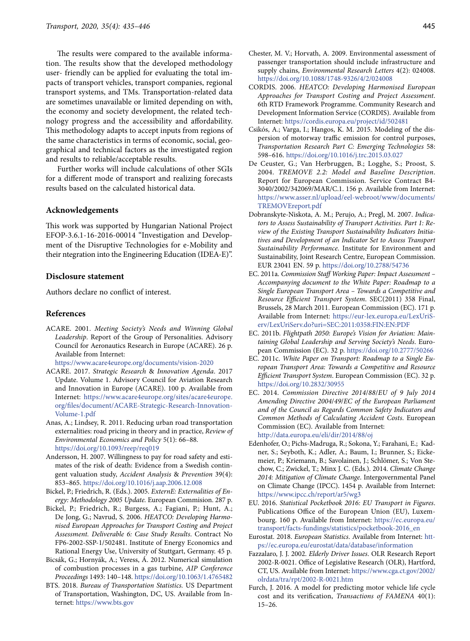The results were compared to the available information. The results show that the developed methodology user- friendly can be applied for evaluating the total impacts of transport vehicles, transport companies, regional transport systems, and TMs. Transportation-related data are sometimes unavailable or limited depending on with, the economy and society development, the related technology progress and the accessibility and affordability. This methodology adapts to accept inputs from regions of the same characteristics in terms of economic, social, geographical and technical factors as the investigated region and results to reliable/acceptable results.

Further works will include calculations of other SGIs for a different mode of transport and realizing forecasts results based on the calculated historical data.

## **Acknowledgements**

This work was supported by Hungarian National Project EFOP-3.6.1-16-2016-00014 "Investigation and Development of the Disruptive Technologies for e-Mobility and their ntegration into the Engineering Education (IDEA-E)".

# **Disclosure statement**

Authors declare no conflict of interest.

#### **References**

ACARE. 2001. *Meeting Society's Needs and Winning Global Leadership*. Report of the Group of Personalities. Advisory Council for Aeronautics Research in Europe (ACARE). 26 p. Available from Internet:

<https://www.acare4europe.org/documents/vision-2020>

- ACARE. 2017. *Strategic Research* & *Innovation Agenda*. 2017 Update. Volume 1. Advisory Council for Aviation Research and Innovation in Europe (ACARE). 100 p. Available from Internet: [https://www.acare4europe.org/sites/acare4europe.](https://www.acare4europe.org/sites/acare4europe.org/files/document/ACARE-Strategic-Research-Innovation-Volume-1.pdf) [org/files/document/ACARE-Strategic-Research-Innovation-](https://www.acare4europe.org/sites/acare4europe.org/files/document/ACARE-Strategic-Research-Innovation-Volume-1.pdf)[Volume-1.pdf](https://www.acare4europe.org/sites/acare4europe.org/files/document/ACARE-Strategic-Research-Innovation-Volume-1.pdf)
- Anas, A.; Lindsey, R. 2011. Reducing urban road transportation externalities: road pricing in theory and in practice, *Review of Environmental Economics and Policy* 5(1): 66–88. <https://doi.org/10.1093/reep/req019>
- Andersson, H. 2007. Willingness to pay for road safety and estimates of the risk of death: Evidence from a Swedish contingent valuation study, *Accident Analysis* & *Prevention* 39(4): 853–865. <https://doi.org/10.1016/j.aap.2006.12.008>
- Bickel, P.; Friedrich, R. (Eds.). 2005. *ExternE: Externalities of Energy: Methodology 2005 Update.* European Commision. 287 p.
- Bickel, P.; Friedrich, R.; Burgess, A.; Fagiani, P.; Hunt, A.; De Jong, G.; Navrud, S. 2006. *HEATCO: Developing Harmonised European Approaches for Transport Costing and Project Assessment. Deliverable 6: Case Study Results*. Contract No FP6-2002-SSP-1/502481. Institute of Energy Economics and Rational Energy Use, University of Stuttgart, Germany. 45 p.
- Bicsák, G.; Hornyák, A.; Veress, Á. 2012. Numerical simulation of combustion processes in a gas turbine, *AIP Conference Proceedings* 1493: 140–148.<https://doi.org/10.1063/1.4765482>
- BTS. 2018. *Bureau of Transportation Statistics.* US Department of Transportation, Washington, DC, US. Available from Internet: <https://www.bts.gov>
- Chester, M. V.; Horvath, A. 2009. Environmental assessment of passenger transportation should include infrastructure and supply chains, *Environmental Research Letters* 4(2): 024008. <https://doi.org/10.1088/1748-9326/4/2/024008>
- CORDIS. 2006. *HEATCO: Developing Harmonised European Approaches for Transport Costing and Project Assessment*. 6th RTD Framework Programme. Community Research and Development Information Service (CORDIS). Available from Internet:<https://cordis.europa.eu/project/id/502481>
- Csikós, A.; Varga, I.; Hangos, K. M. 2015. Modeling of the dispersion of motorway traffic emission for control purposes, *Transportation Research Part C: Emerging Technologies* 58: 598–616. <https://doi.org/10.1016/j.trc.2015.03.027>
- De Ceuster, G.; Van Herbruggen, B.; Logghe, S.; Proost, S. 2004. *TREMOVE 2.2: Model and Baseline Description*. Report for European Commission. Service Contract B4- 3040/2002/342069/MAR/C.1. 156 p. Available from Internet: [https://www.asser.nl/upload/eel-webroot/www/documents/](https://www.asser.nl/upload/eel-webroot/www/documents/TREMOVEreport.pdf) [TREMOVEreport.pdf](https://www.asser.nl/upload/eel-webroot/www/documents/TREMOVEreport.pdf)
- Dobranskyte-Niskota, A. M.; Perujo, A.; Pregl, M. 2007. *Indicators to Assess Sustainability of Transport Activities. Part 1: Review of the Existing Transport Sustainability Indicators Initiatives and Development of an Indicator Set to Assess Transport Sustainability Performance*. Institute for Environment and Sustainability, Joint Research Centre, European Commission. EUR 23041 EN. 59 p. <https://doi.org/10.2788/54736>
- EC. 2011a. *Commission Staff Working Paper: Impact Assessment Accompanying document to the White Paper: Roadmap to a Single European Transport Area – Towards a Competitive and Resource Efficient Transport System*. SEC(2011) 358 Final, Brussels, 28 March 2011. European Commission (EC). 171 p. Available from Internet: [https://eur-lex.europa.eu/LexUriS](https://eur-lex.europa.eu/LexUriServ/LexUriServ.do?uri=SEC:2011:0358:FIN:EN:PDF)[erv/LexUriServ.do?uri=SEC:2011:0358:FIN:EN:PDF](https://eur-lex.europa.eu/LexUriServ/LexUriServ.do?uri=SEC:2011:0358:FIN:EN:PDF)
- EC. 2011b. *Flightpath 2050: Europe's Vision for Aviation: Maintaining Global Leadership and Serving Society's Needs*. European Commission (EC). 32 p. <https://doi.org/10.2777/50266>
- EC. 2011c. *White Paper on Transport: Roadmap to a Single European Transport Area: Towards a Competitive and Resource Efficient Transport System*. European Commission (EC). 32 p. <https://doi.org/10.2832/30955>
- EC. 2014. *Commission Directive 2014*/*88*/*EU of 9 July 2014 Amending Directive 2004*/*49*/*EC of the European Parliament and of the Council as Regards Common Safety Indicators and Common Methods of Calculating Accident Costs*. European Commission (EC). Available from Internet: <http://data.europa.eu/eli/dir/2014/88/oj>
- Edenhofer, O.; Pichs-Madruga, R.; Sokona, Y.; Farahani, E.; Kadner, S.; Seyboth, K.; Adler, A.; Baum, I.; Brunner, S.; Eickemeier, P.; Kriemann, B.; Savolainen, J.; Schlömer, S.; Von Stechow, C.; Zwickel, T.; Minx J. C. (Eds.). 2014. *Climate Change 2014: Mitigation of Climate Change*. Intergovernmental Panel on Climate Change (IPCC). 1454 p. Available from Internet: <https://www.ipcc.ch/report/ar5/wg3>
- EU. 2016. *Statistical Pocketbook 2016: EU Transport in Figures*. Publications Office of the European Union (EU), Luxembourg. 160 p. Available from Internet: [https://ec.europa.eu/](https://ec.europa.eu/transport/facts-fundings/statistics/pocketbook-2016_en) [transport/facts-fundings/statistics/pocketbook-2016\\_en](https://ec.europa.eu/transport/facts-fundings/statistics/pocketbook-2016_en)
- Eurostat. 2018. *European Statistics*. Available from Internet: [htt](https://ec.europa.eu/eurostat/data/database/information)[ps://ec.europa.eu/eurostat/data/database/information](https://ec.europa.eu/eurostat/data/database/information)
- Fazzalaro, J. J. 2002. *Elderly Driver Issues*. OLR Research Report 2002-R-0021. Office of Legislative Research (OLR), Hartford, CT, US. Available from Internet: [https://www.cga.ct.gov/2002/](https://www.cga.ct.gov/2002/olrdata/tra/rpt/2002-R-0021.htm) [olrdata/tra/rpt/2002-R-0021.htm](https://www.cga.ct.gov/2002/olrdata/tra/rpt/2002-R-0021.htm)
- Furch, J. 2016. A model for predicting motor vehicle life cycle cost and its verification, *Transactions of FAMENA* 40(1): 15–26.